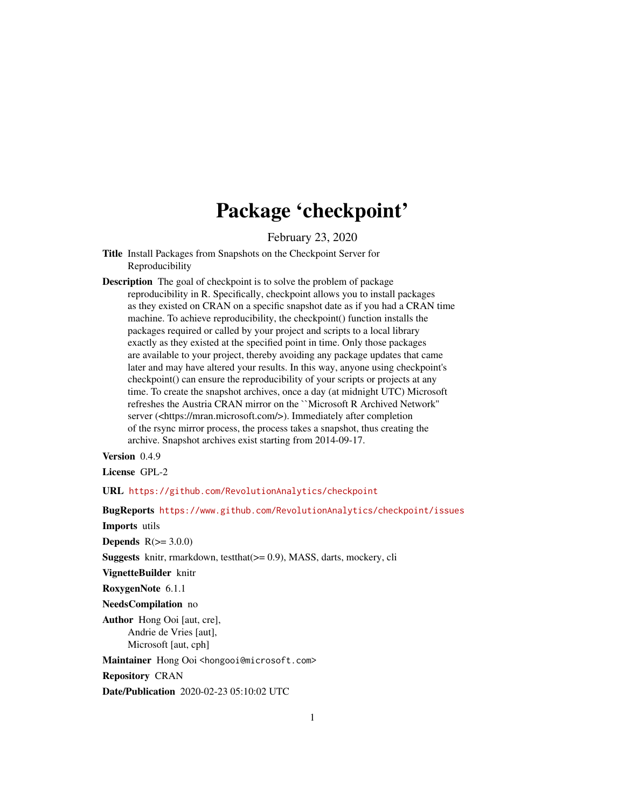# Package 'checkpoint'

February 23, 2020

- <span id="page-0-0"></span>Title Install Packages from Snapshots on the Checkpoint Server for Reproducibility
- Description The goal of checkpoint is to solve the problem of package reproducibility in R. Specifically, checkpoint allows you to install packages as they existed on CRAN on a specific snapshot date as if you had a CRAN time machine. To achieve reproducibility, the checkpoint() function installs the packages required or called by your project and scripts to a local library exactly as they existed at the specified point in time. Only those packages are available to your project, thereby avoiding any package updates that came later and may have altered your results. In this way, anyone using checkpoint's checkpoint() can ensure the reproducibility of your scripts or projects at any time. To create the snapshot archives, once a day (at midnight UTC) Microsoft refreshes the Austria CRAN mirror on the ``Microsoft R Archived Network'' server (<https://mran.microsoft.com/>). Immediately after completion of the rsync mirror process, the process takes a snapshot, thus creating the archive. Snapshot archives exist starting from 2014-09-17.

Version 0.4.9

License GPL-2

URL <https://github.com/RevolutionAnalytics/checkpoint>

BugReports <https://www.github.com/RevolutionAnalytics/checkpoint/issues>

Imports utils

Depends  $R(>= 3.0.0)$ 

**Suggests** knitr, rmarkdown, testthat $(>= 0.9)$ , MASS, darts, mockery, cli

VignetteBuilder knitr

RoxygenNote 6.1.1

NeedsCompilation no

Author Hong Ooi [aut, cre], Andrie de Vries [aut], Microsoft [aut, cph]

Maintainer Hong Ooi <hongooi@microsoft.com>

Repository CRAN

Date/Publication 2020-02-23 05:10:02 UTC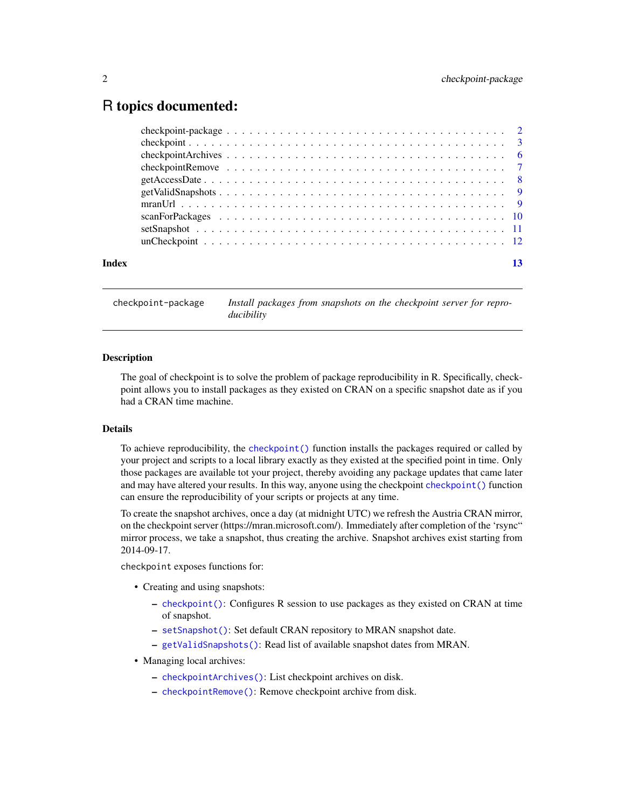# <span id="page-1-0"></span>R topics documented:

| Index |  |
|-------|--|
|       |  |
|       |  |
|       |  |
|       |  |
|       |  |
|       |  |
|       |  |
|       |  |
|       |  |
|       |  |

checkpoint-package *Install packages from snapshots on the checkpoint server for reproducibility*

## Description

The goal of checkpoint is to solve the problem of package reproducibility in R. Specifically, checkpoint allows you to install packages as they existed on CRAN on a specific snapshot date as if you had a CRAN time machine.

#### Details

To achieve reproducibility, the [checkpoint\(\)](#page-2-1) function installs the packages required or called by your project and scripts to a local library exactly as they existed at the specified point in time. Only those packages are available tot your project, thereby avoiding any package updates that came later and may have altered your results. In this way, anyone using the checkpoint [checkpoint\(\)](#page-2-1) function can ensure the reproducibility of your scripts or projects at any time.

To create the snapshot archives, once a day (at midnight UTC) we refresh the Austria CRAN mirror, on the checkpoint server (https://mran.microsoft.com/). Immediately after completion of the 'rsync" mirror process, we take a snapshot, thus creating the archive. Snapshot archives exist starting from 2014-09-17.

checkpoint exposes functions for:

- Creating and using snapshots:
	- [checkpoint\(\)](#page-2-1): Configures R session to use packages as they existed on CRAN at time of snapshot.
	- [setSnapshot\(\)](#page-10-1): Set default CRAN repository to MRAN snapshot date.
	- [getValidSnapshots\(\)](#page-8-1): Read list of available snapshot dates from MRAN.
- Managing local archives:
	- [checkpointArchives\(\)](#page-5-1): List checkpoint archives on disk.
	- [checkpointRemove\(\)](#page-6-1): Remove checkpoint archive from disk.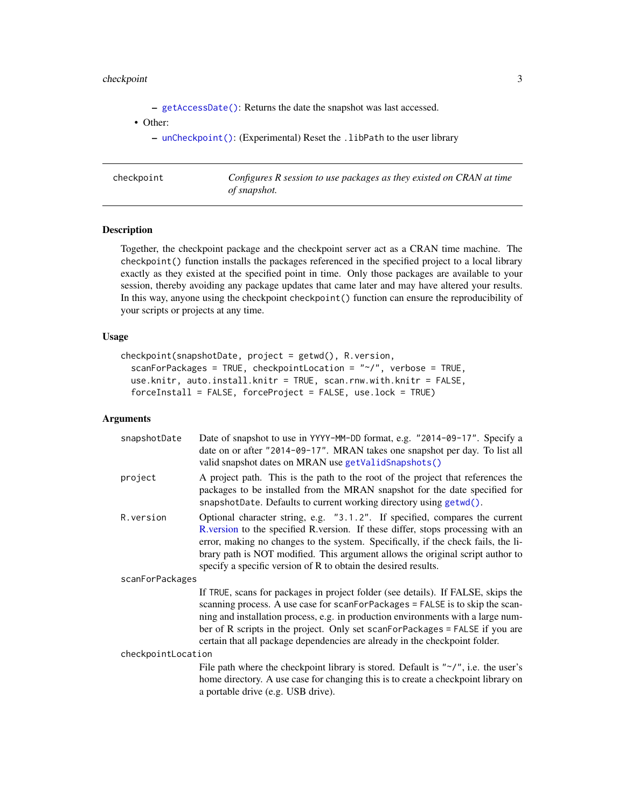# <span id="page-2-0"></span>checkpoint 3

– [getAccessDate\(\)](#page-7-1): Returns the date the snapshot was last accessed.

• Other:

– [unCheckpoint\(\)](#page-11-1): (Experimental) Reset the .libPath to the user library

<span id="page-2-1"></span>

| checkpoint | Configures R session to use packages as they existed on CRAN at time<br>of snapshot. |
|------------|--------------------------------------------------------------------------------------|
|------------|--------------------------------------------------------------------------------------|

# Description

Together, the checkpoint package and the checkpoint server act as a CRAN time machine. The checkpoint() function installs the packages referenced in the specified project to a local library exactly as they existed at the specified point in time. Only those packages are available to your session, thereby avoiding any package updates that came later and may have altered your results. In this way, anyone using the checkpoint checkpoint () function can ensure the reproducibility of your scripts or projects at any time.

# Usage

```
checkpoint(snapshotDate, project = getwd(), R.version,
  scanForPackages = TRUE, checkpointLocation = "~/", verbose = TRUE,
  use.knitr, auto.install.knitr = TRUE, scan.rnw.with.knitr = FALSE,
  forceInstall = FALSE, forceProject = FALSE, use.lock = TRUE)
```
# Arguments

| snapshotDate       | Date of snapshot to use in YYYY-MM-DD format, e.g. "2014-09-17". Specify a<br>date on or after "2014-09-17". MRAN takes one snapshot per day. To list all<br>valid snapshot dates on MRAN use getValidSnapshots()                                                                                                                                                                                                    |
|--------------------|----------------------------------------------------------------------------------------------------------------------------------------------------------------------------------------------------------------------------------------------------------------------------------------------------------------------------------------------------------------------------------------------------------------------|
| project            | A project path. This is the path to the root of the project that references the<br>packages to be installed from the MRAN snapshot for the date specified for<br>snapshotDate. Defaults to current working directory using getwd().                                                                                                                                                                                  |
| R. version         | Optional character string, e.g. "3.1.2". If specified, compares the current<br>R version to the specified R version. If these differ, stops processing with an<br>error, making no changes to the system. Specifically, if the check fails, the li-<br>brary path is NOT modified. This argument allows the original script author to<br>specify a specific version of R to obtain the desired results.              |
| scanForPackages    |                                                                                                                                                                                                                                                                                                                                                                                                                      |
|                    | If TRUE, scans for packages in project folder (see details). If FALSE, skips the<br>scanning process. A use case for scanForPackages = FALSE is to skip the scan-<br>ning and installation process, e.g. in production environments with a large num-<br>ber of R scripts in the project. Only set scanForPackages = FALSE if you are<br>certain that all package dependencies are already in the checkpoint folder. |
| checkpointLocation |                                                                                                                                                                                                                                                                                                                                                                                                                      |
|                    | File path where the checkpoint library is stored. Default is " $\sim$ /", i.e. the user's<br>home directory. A use case for changing this is to create a checkpoint library on<br>a portable drive (e.g. USB drive).                                                                                                                                                                                                 |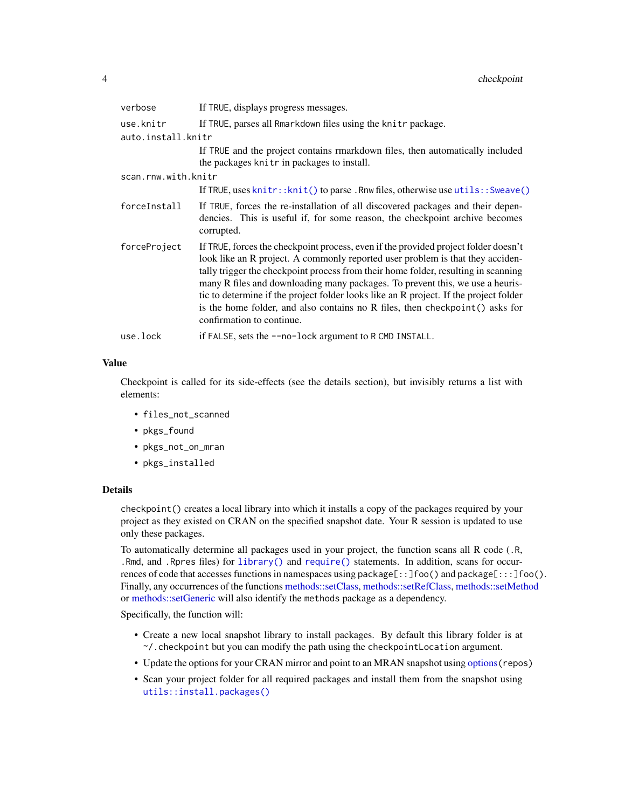<span id="page-3-0"></span>

| verbose             | If TRUE, displays progress messages.                                                                                                                                                                                                                                                                                                                                                                                                                                                                                                                |
|---------------------|-----------------------------------------------------------------------------------------------------------------------------------------------------------------------------------------------------------------------------------------------------------------------------------------------------------------------------------------------------------------------------------------------------------------------------------------------------------------------------------------------------------------------------------------------------|
| use.knitr           | If TRUE, parses all Rmarkdown files using the knitr package.                                                                                                                                                                                                                                                                                                                                                                                                                                                                                        |
| auto.install.knitr  |                                                                                                                                                                                                                                                                                                                                                                                                                                                                                                                                                     |
|                     | If TRUE and the project contains rmarkdown files, then automatically included<br>the packages knitr in packages to install.                                                                                                                                                                                                                                                                                                                                                                                                                         |
| scan.rnw.with.knitr |                                                                                                                                                                                                                                                                                                                                                                                                                                                                                                                                                     |
|                     | If TRUE, uses knitr:: knit() to parse. Rnw files, otherwise use utils:: Sweave()                                                                                                                                                                                                                                                                                                                                                                                                                                                                    |
| forceInstall        | If TRUE, forces the re-installation of all discovered packages and their depen-<br>dencies. This is useful if, for some reason, the checkpoint archive becomes<br>corrupted.                                                                                                                                                                                                                                                                                                                                                                        |
| forceProject        | If TRUE, forces the checkpoint process, even if the provided project folder doesn't<br>look like an R project. A commonly reported user problem is that they acciden-<br>tally trigger the checkpoint process from their home folder, resulting in scanning<br>many R files and downloading many packages. To prevent this, we use a heuris-<br>tic to determine if the project folder looks like an R project. If the project folder<br>is the home folder, and also contains no R files, then checkpoint () asks for<br>confirmation to continue. |
| use.lock            | if FALSE, sets the --no-lock argument to R CMD INSTALL.                                                                                                                                                                                                                                                                                                                                                                                                                                                                                             |

#### Value

Checkpoint is called for its side-effects (see the details section), but invisibly returns a list with elements:

- files\_not\_scanned
- pkgs\_found
- pkgs\_not\_on\_mran
- pkgs\_installed

# Details

checkpoint() creates a local library into which it installs a copy of the packages required by your project as they existed on CRAN on the specified snapshot date. Your R session is updated to use only these packages.

To automatically determine all packages used in your project, the function scans all R code (.R, .Rmd, and .Rpres files) for [library\(\)](#page-0-0) and [require\(\)](#page-0-0) statements. In addition, scans for occurrences of code that accesses functions in namespaces using package[::]foo() and package[:::]foo(). Finally, any occurrences of the functions [methods::setClass,](#page-0-0) [methods::setRefClass,](#page-0-0) [methods::setMethod](#page-0-0) or [methods::setGeneric](#page-0-0) will also identify the methods package as a dependency.

Specifically, the function will:

- Create a new local snapshot library to install packages. By default this library folder is at ~/.checkpoint but you can modify the path using the checkpointLocation argument.
- Update the options for your CRAN mirror and point to an MRAN snapshot using [options](#page-0-0)(repos)
- Scan your project folder for all required packages and install them from the snapshot using [utils::install.packages\(\)](#page-0-0)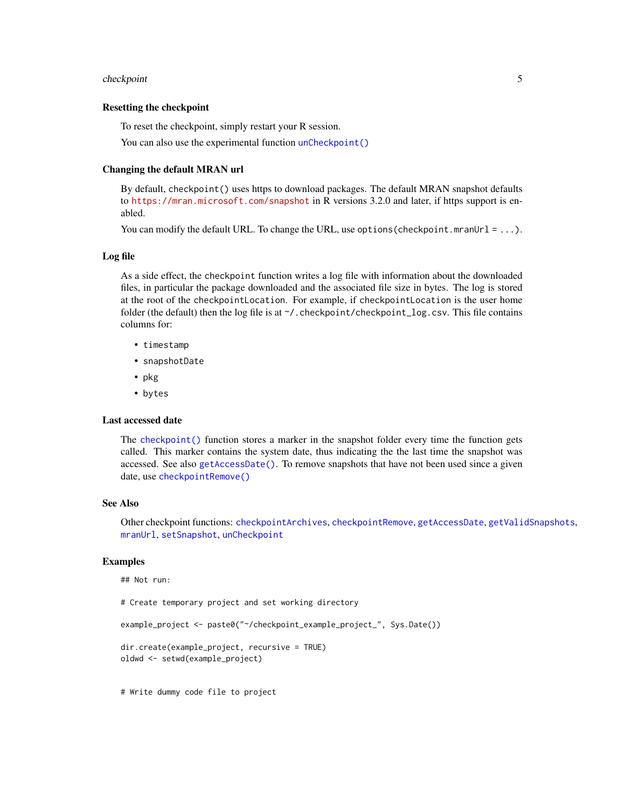#### <span id="page-4-0"></span>checkpoint 5

#### Resetting the checkpoint

To reset the checkpoint, simply restart your R session.

You can also use the experimental function [unCheckpoint\(\)](#page-11-1)

#### Changing the default MRAN url

By default, checkpoint() uses https to download packages. The default MRAN snapshot defaults to <https://mran.microsoft.com/snapshot> in R versions 3.2.0 and later, if https support is enabled.

You can modify the default URL. To change the URL, use options (checkpoint.mranUrl =  $\dots$ ).

### Log file

As a side effect, the checkpoint function writes a log file with information about the downloaded files, in particular the package downloaded and the associated file size in bytes. The log is stored at the root of the checkpointLocation. For example, if checkpointLocation is the user home folder (the default) then the log file is at  $\gamma$ . checkpoint/checkpoint\_log.csv. This file contains columns for:

- timestamp
- snapshotDate
- pkg
- bytes

#### Last accessed date

The [checkpoint\(\)](#page-2-1) function stores a marker in the snapshot folder every time the function gets called. This marker contains the system date, thus indicating the the last time the snapshot was accessed. See also [getAccessDate\(\)](#page-7-1). To remove snapshots that have not been used since a given date, use [checkpointRemove\(\)](#page-6-1)

# See Also

Other checkpoint functions: [checkpointArchives](#page-5-1), [checkpointRemove](#page-6-1), [getAccessDate](#page-7-1), [getValidSnapshots](#page-8-1), [mranUrl](#page-8-2), [setSnapshot](#page-10-1), [unCheckpoint](#page-11-1)

#### Examples

## Not run:

# Create temporary project and set working directory

example\_project <- paste0("~/checkpoint\_example\_project\_", Sys.Date())

```
dir.create(example_project, recursive = TRUE)
oldwd <- setwd(example_project)
```
# Write dummy code file to project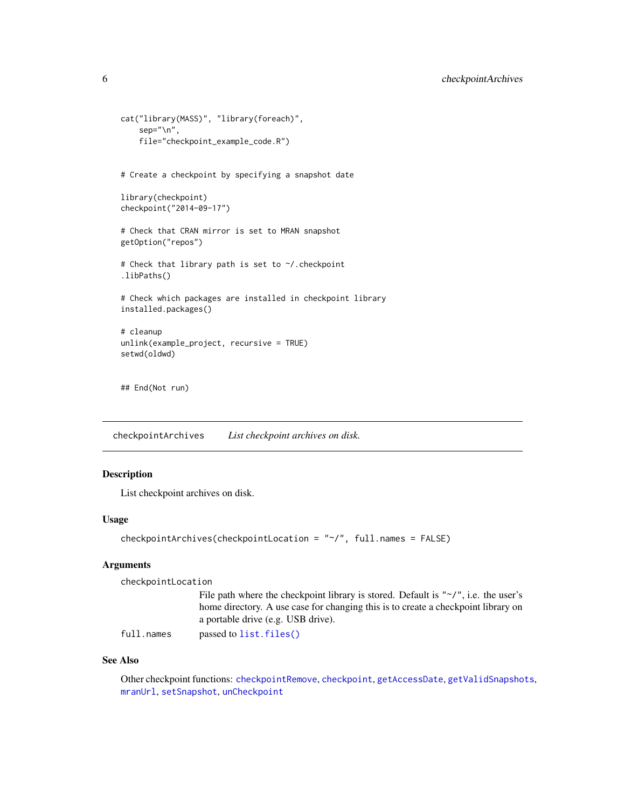```
cat("library(MASS)", "library(foreach)",
    sep="\n",
    file="checkpoint_example_code.R")
# Create a checkpoint by specifying a snapshot date
library(checkpoint)
checkpoint("2014-09-17")
# Check that CRAN mirror is set to MRAN snapshot
getOption("repos")
# Check that library path is set to ~/.checkpoint
.libPaths()
# Check which packages are installed in checkpoint library
installed.packages()
# cleanup
unlink(example_project, recursive = TRUE)
setwd(oldwd)
## End(Not run)
```
<span id="page-5-1"></span>checkpointArchives *List checkpoint archives on disk.*

# Description

List checkpoint archives on disk.

# Usage

```
checkpointArchives(checkpointLocation = "~/", full.names = FALSE)
```
# Arguments

checkpointLocation

| File path where the checkpoint library is stored. Default is " $\gamma$ ", i.e. the user's |
|--------------------------------------------------------------------------------------------|
| home directory. A use case for changing this is to create a checkpoint library on          |
| a portable drive (e.g. USB drive).                                                         |
| and and the first of the CAT and AND                                                       |

full.names passed to [list.files\(\)](#page-0-0)

# See Also

Other checkpoint functions: [checkpointRemove](#page-6-1), [checkpoint](#page-2-1), [getAccessDate](#page-7-1), [getValidSnapshots](#page-8-1), [mranUrl](#page-8-2), [setSnapshot](#page-10-1), [unCheckpoint](#page-11-1)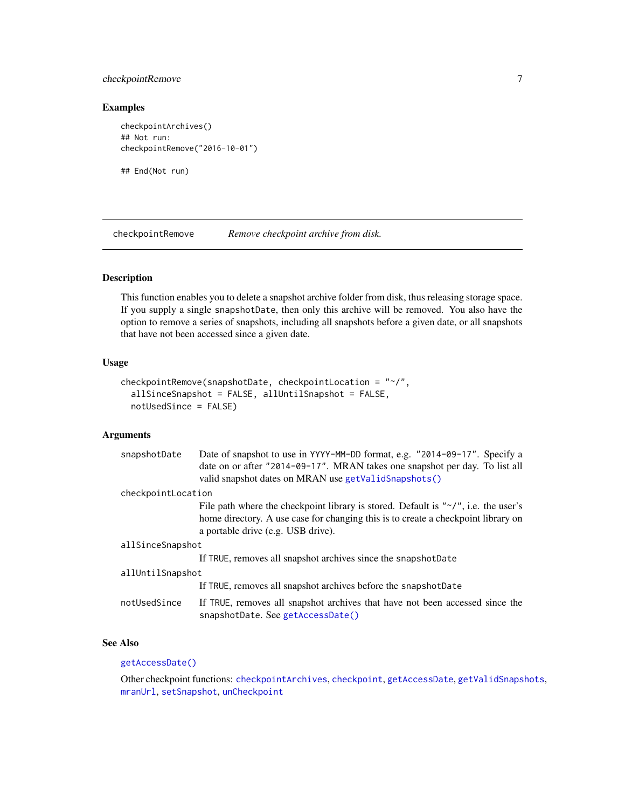# <span id="page-6-0"></span>checkpointRemove 7

### Examples

```
checkpointArchives()
## Not run:
checkpointRemove("2016-10-01")
```
## End(Not run)

<span id="page-6-1"></span>checkpointRemove *Remove checkpoint archive from disk.*

# Description

This function enables you to delete a snapshot archive folder from disk, thus releasing storage space. If you supply a single snapshotDate, then only this archive will be removed. You also have the option to remove a series of snapshots, including all snapshots before a given date, or all snapshots that have not been accessed since a given date.

### Usage

```
checkpointRemove(snapshotDate, checkpointLocation = "~/",
  allSinceSnapshot = FALSE, allUntilSnapshot = FALSE,
 notUsedSince = FALSE)
```
## Arguments

| snapshotDate       | Date of snapshot to use in YYYY-MM-DD format, e.g. "2014-09-17". Specify a<br>date on or after "2014-09-17". MRAN takes one snapshot per day. To list all<br>valid snapshot dates on MRAN use getValidSnapshots()     |  |
|--------------------|-----------------------------------------------------------------------------------------------------------------------------------------------------------------------------------------------------------------------|--|
| checkpointLocation |                                                                                                                                                                                                                       |  |
|                    | File path where the checkpoint library is stored. Default is " $\gamma$ ", i.e. the user's<br>home directory. A use case for changing this is to create a checkpoint library on<br>a portable drive (e.g. USB drive). |  |
| allSinceSnapshot   |                                                                                                                                                                                                                       |  |
|                    | If TRUE, removes all snapshot archives since the snapshotDate                                                                                                                                                         |  |
| allUntilSnapshot   |                                                                                                                                                                                                                       |  |
|                    | If TRUE, removes all snapshot archives before the snapshotDate                                                                                                                                                        |  |
| notUsedSince       | If TRUE, removes all snapshot archives that have not been accessed since the<br>snapshotDate. See getAccessDate()                                                                                                     |  |

# See Also

## [getAccessDate\(\)](#page-7-1)

Other checkpoint functions: [checkpointArchives](#page-5-1), [checkpoint](#page-2-1), [getAccessDate](#page-7-1), [getValidSnapshots](#page-8-1), [mranUrl](#page-8-2), [setSnapshot](#page-10-1), [unCheckpoint](#page-11-1)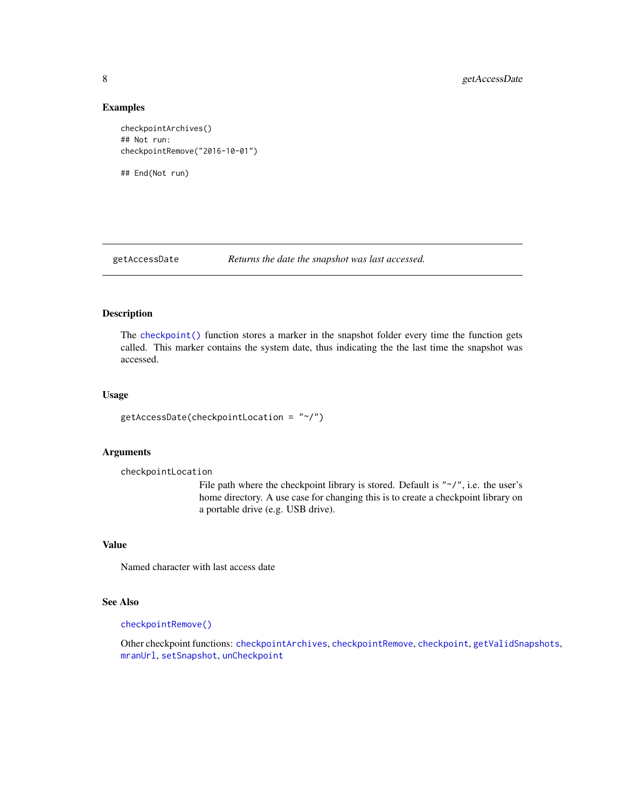#### Examples

```
checkpointArchives()
## Not run:
checkpointRemove("2016-10-01")
## End(Not run)
```
<span id="page-7-1"></span>getAccessDate *Returns the date the snapshot was last accessed.*

# Description

The [checkpoint\(\)](#page-2-1) function stores a marker in the snapshot folder every time the function gets called. This marker contains the system date, thus indicating the the last time the snapshot was accessed.

# Usage

```
getAccessDate(checkpointLocation = "~/")
```
#### Arguments

```
checkpointLocation
```
File path where the checkpoint library is stored. Default is " $\gamma$ ", i.e. the user's home directory. A use case for changing this is to create a checkpoint library on a portable drive (e.g. USB drive).

# Value

Named character with last access date

# See Also

# [checkpointRemove\(\)](#page-6-1)

Other checkpoint functions: [checkpointArchives](#page-5-1), [checkpointRemove](#page-6-1), [checkpoint](#page-2-1), [getValidSnapshots](#page-8-1), [mranUrl](#page-8-2), [setSnapshot](#page-10-1), [unCheckpoint](#page-11-1)

<span id="page-7-0"></span>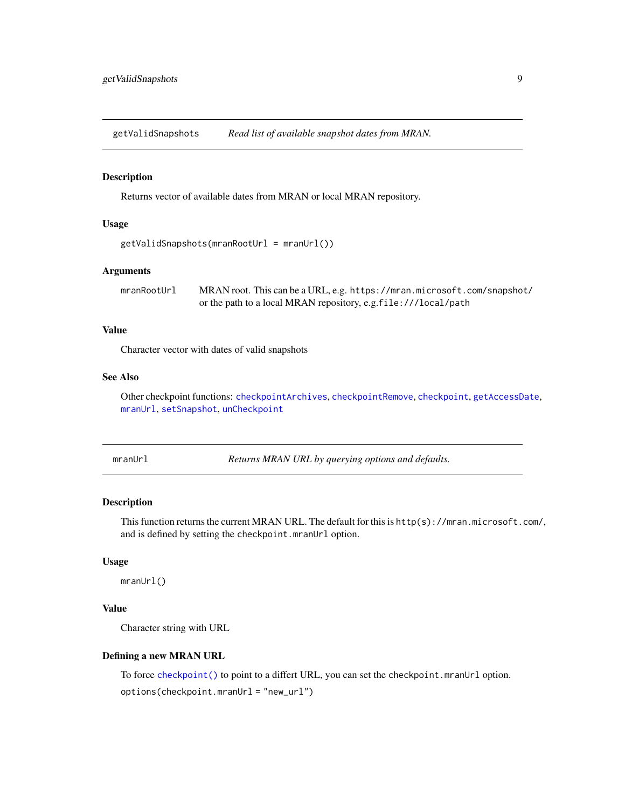<span id="page-8-1"></span><span id="page-8-0"></span>getValidSnapshots *Read list of available snapshot dates from MRAN.*

#### Description

Returns vector of available dates from MRAN or local MRAN repository.

# Usage

```
getValidSnapshots(mranRootUrl = mranUrl())
```
# Arguments

mranRootUrl MRAN root. This can be a URL, e.g. https://mran.microsoft.com/snapshot/ or the path to a local MRAN repository, e.g.file:///local/path

# Value

Character vector with dates of valid snapshots

# See Also

Other checkpoint functions: [checkpointArchives](#page-5-1), [checkpointRemove](#page-6-1), [checkpoint](#page-2-1), [getAccessDate](#page-7-1), [mranUrl](#page-8-2), [setSnapshot](#page-10-1), [unCheckpoint](#page-11-1)

<span id="page-8-2"></span>mranUrl *Returns MRAN URL by querying options and defaults.*

# Description

This function returns the current MRAN URL. The default for this is  $http(s)://mran.microsoft.com/$ , and is defined by setting the checkpoint.mranUrl option.

#### Usage

mranUrl()

# Value

Character string with URL

#### Defining a new MRAN URL

To force [checkpoint\(\)](#page-2-1) to point to a differt URL, you can set the checkpoint.mranUrl option. options(checkpoint.mranUrl = "new\_url")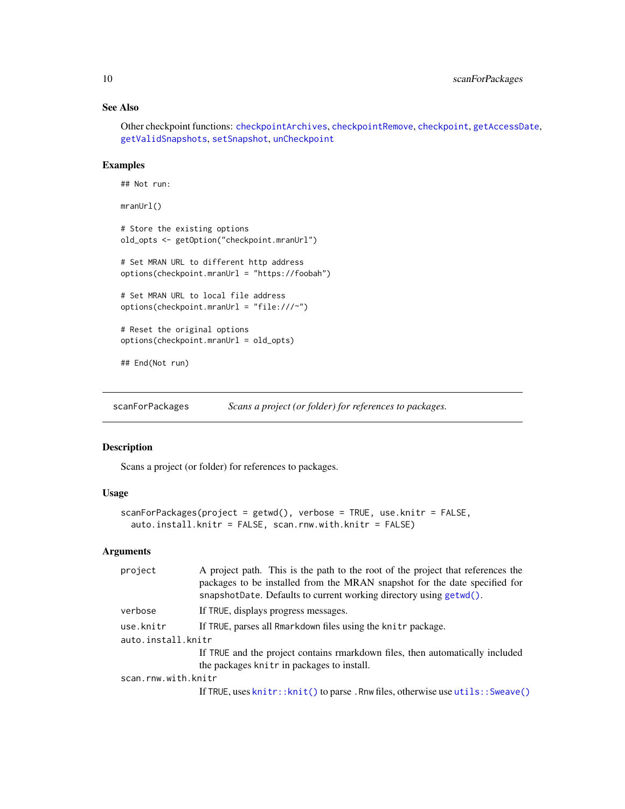# See Also

Other checkpoint functions: [checkpointArchives](#page-5-1), [checkpointRemove](#page-6-1), [checkpoint](#page-2-1), [getAccessDate](#page-7-1), [getValidSnapshots](#page-8-1), [setSnapshot](#page-10-1), [unCheckpoint](#page-11-1)

# Examples

```
## Not run:
mranUrl()
# Store the existing options
old_opts <- getOption("checkpoint.mranUrl")
# Set MRAN URL to different http address
options(checkpoint.mranUrl = "https://foobah")
# Set MRAN URL to local file address
options(checkpoint.mranUrl = "file:///~")
# Reset the original options
options(checkpoint.mranUrl = old_opts)
## End(Not run)
```
scanForPackages *Scans a project (or folder) for references to packages.*

## Description

Scans a project (or folder) for references to packages.

# Usage

```
scanForPackages(project = getwd(), verbose = TRUE, use.knitr = FALSE,
  auto.install.knitr = FALSE, scan.rnw.with.knitr = FALSE)
```
# Arguments

| project             | A project path. This is the path to the root of the project that references the<br>packages to be installed from the MRAN snapshot for the date specified for<br>snapshotDate. Defaults to current working directory using getwd(). |
|---------------------|-------------------------------------------------------------------------------------------------------------------------------------------------------------------------------------------------------------------------------------|
| verbose             | If TRUE, displays progress messages.                                                                                                                                                                                                |
| use.knitr           | If TRUE, parses all Rmarkdown files using the knitr package.                                                                                                                                                                        |
| auto.install.knitr  |                                                                                                                                                                                                                                     |
|                     | If TRUE and the project contains rmarkdown files, then automatically included                                                                                                                                                       |
|                     | the packages knitr in packages to install.                                                                                                                                                                                          |
| scan.rnw.with.knitr |                                                                                                                                                                                                                                     |
|                     | If TRUE, uses knitr:: knit() to parse. Rnw files, otherwise use utils:: Sweave()                                                                                                                                                    |

<span id="page-9-0"></span>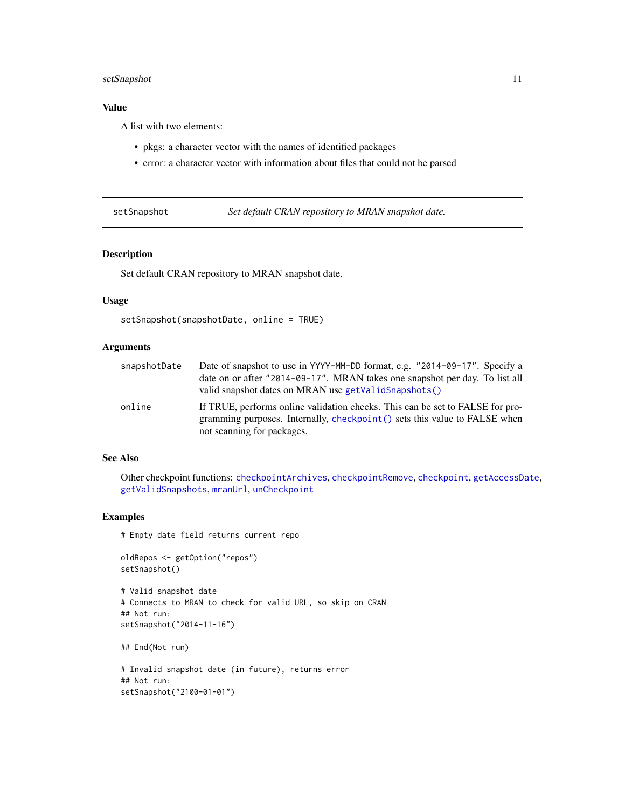# <span id="page-10-0"></span>setSnapshot 11

# Value

A list with two elements:

- pkgs: a character vector with the names of identified packages
- error: a character vector with information about files that could not be parsed

<span id="page-10-1"></span>setSnapshot *Set default CRAN repository to MRAN snapshot date.*

# Description

Set default CRAN repository to MRAN snapshot date.

## Usage

```
setSnapshot(snapshotDate, online = TRUE)
```
# Arguments

| snapshotDate | Date of snapshot to use in YYYY-MM-DD format, e.g. "2014-09-17". Specify a                                                                                                                |
|--------------|-------------------------------------------------------------------------------------------------------------------------------------------------------------------------------------------|
|              | date on or after "2014-09-17". MRAN takes one snapshot per day. To list all                                                                                                               |
|              | valid snapshot dates on MRAN use getValidSnapshots()                                                                                                                                      |
| online       | If TRUE, performs online validation checks. This can be set to FALSE for pro-<br>gramming purposes. Internally, checkpoint () sets this value to FALSE when<br>not scanning for packages. |

#### See Also

Other checkpoint functions: [checkpointArchives](#page-5-1), [checkpointRemove](#page-6-1), [checkpoint](#page-2-1), [getAccessDate](#page-7-1), [getValidSnapshots](#page-8-1), [mranUrl](#page-8-2), [unCheckpoint](#page-11-1)

# Examples

# Empty date field returns current repo

```
oldRepos <- getOption("repos")
setSnapshot()
```

```
# Valid snapshot date
# Connects to MRAN to check for valid URL, so skip on CRAN
## Not run:
setSnapshot("2014-11-16")
```
## End(Not run)

```
# Invalid snapshot date (in future), returns error
## Not run:
setSnapshot("2100-01-01")
```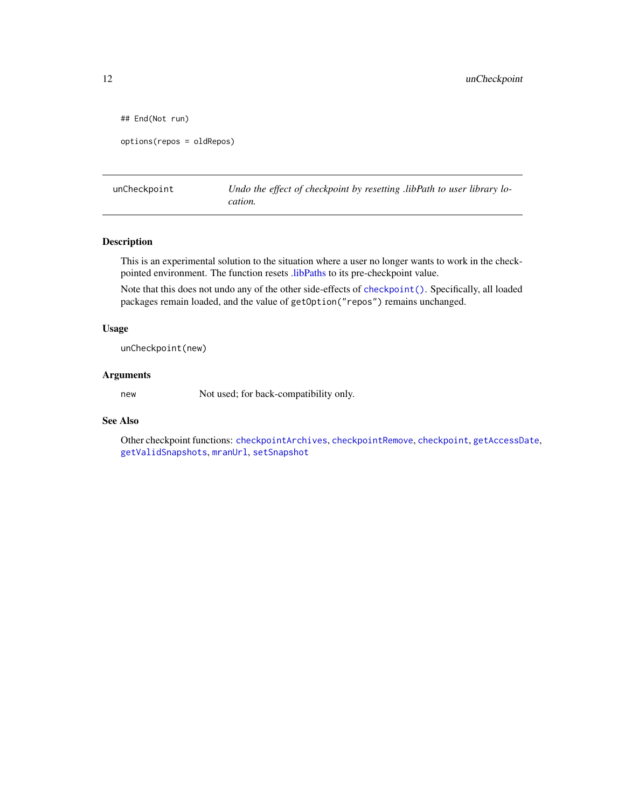```
## End(Not run)
options(repos = oldRepos)
```
<span id="page-11-1"></span>unCheckpoint *Undo the effect of checkpoint by resetting .libPath to user library location.*

# Description

This is an experimental solution to the situation where a user no longer wants to work in the checkpointed environment. The function resets [.libPaths](#page-0-0) to its pre-checkpoint value.

Note that this does not undo any of the other side-effects of [checkpoint\(\)](#page-2-1). Specifically, all loaded packages remain loaded, and the value of getOption("repos") remains unchanged.

#### Usage

unCheckpoint(new)

#### Arguments

new Not used; for back-compatibility only.

# See Also

Other checkpoint functions: [checkpointArchives](#page-5-1), [checkpointRemove](#page-6-1), [checkpoint](#page-2-1), [getAccessDate](#page-7-1), [getValidSnapshots](#page-8-1), [mranUrl](#page-8-2), [setSnapshot](#page-10-1)